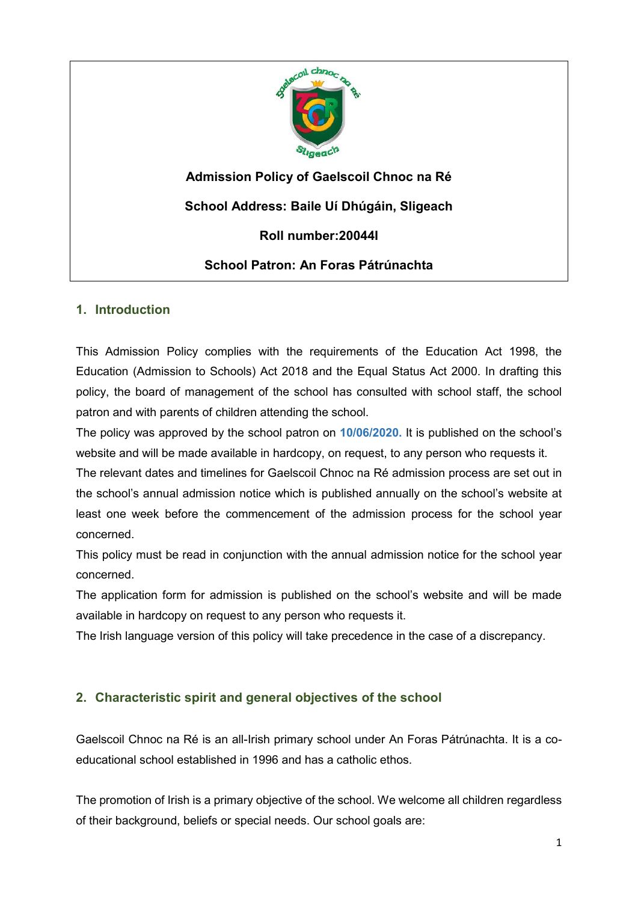

**Admission Policy of Gaelscoil Chnoc na Ré**

**School Address: Baile Uí Dhúgáin, Sligeach**

**Roll number:20044I**

# **School Patron: An Foras Pátrúnachta**

# **1. Introduction**

This Admission Policy complies with the requirements of the Education Act 1998, the Education (Admission to Schools) Act 2018 and the Equal Status Act 2000. In drafting this policy, the board of management of the school has consulted with school staff, the school patron and with parents of children attending the school.

The policy was approved by the school patron on **10/06/2020.** It is published on the school's website and will be made available in hardcopy, on request, to any person who requests it.

The relevant dates and timelines for Gaelscoil Chnoc na Ré admission process are set out in the school's annual admission notice which is published annually on the school's website at least one week before the commencement of the admission process for the school year concerned.

This policy must be read in conjunction with the annual admission notice for the school year concerned.

The application form for admission is published on the school's website and will be made available in hardcopy on request to any person who requests it.

The Irish language version of this policy will take precedence in the case of a discrepancy.

# **2. Characteristic spirit and general objectives of the school**

Gaelscoil Chnoc na Ré is an all-Irish primary school under An Foras Pátrúnachta. It is a coeducational school established in 1996 and has a catholic ethos.

The promotion of Irish is a primary objective of the school. We welcome all children regardless of their background, beliefs or special needs. Our school goals are: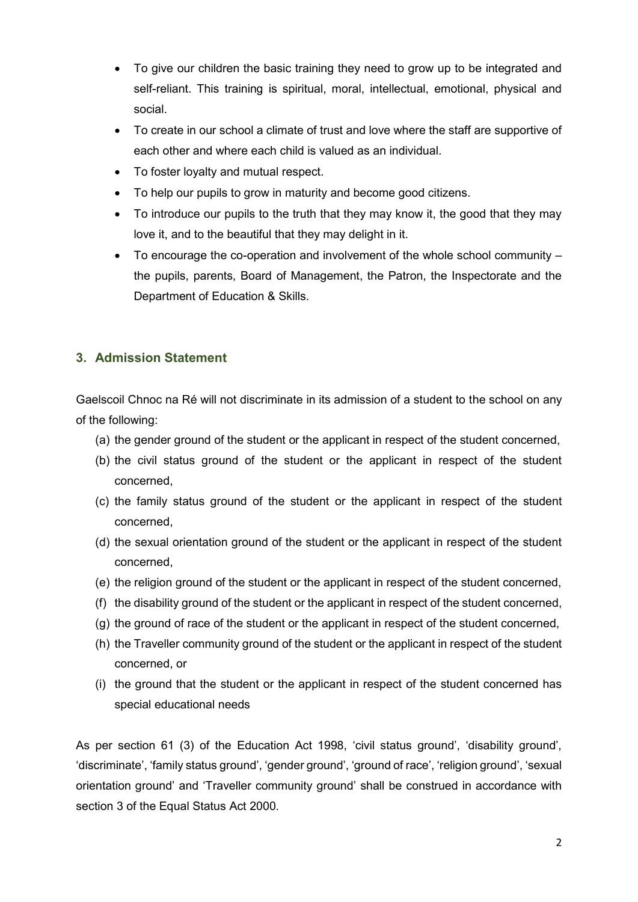- To give our children the basic training they need to grow up to be integrated and self-reliant. This training is spiritual, moral, intellectual, emotional, physical and social.
- To create in our school a climate of trust and love where the staff are supportive of each other and where each child is valued as an individual.
- To foster loyalty and mutual respect.
- To help our pupils to grow in maturity and become good citizens.
- To introduce our pupils to the truth that they may know it, the good that they may love it, and to the beautiful that they may delight in it.
- To encourage the co-operation and involvement of the whole school community  $$ the pupils, parents, Board of Management, the Patron, the Inspectorate and the Department of Education & Skills.

# **3. Admission Statement**

Gaelscoil Chnoc na Ré will not discriminate in its admission of a student to the school on any of the following:

- (a) the gender ground of the student or the applicant in respect of the student concerned,
- (b) the civil status ground of the student or the applicant in respect of the student concerned,
- (c) the family status ground of the student or the applicant in respect of the student concerned,
- (d) the sexual orientation ground of the student or the applicant in respect of the student concerned,
- (e) the religion ground of the student or the applicant in respect of the student concerned,
- (f) the disability ground of the student or the applicant in respect of the student concerned,
- (g) the ground of race of the student or the applicant in respect of the student concerned,
- (h) the Traveller community ground of the student or the applicant in respect of the student concerned, or
- (i) the ground that the student or the applicant in respect of the student concerned has special educational needs

As per section 61 (3) of the Education Act 1998, 'civil status ground', 'disability ground', 'discriminate', 'family status ground', 'gender ground', 'ground of race', 'religion ground', 'sexual orientation ground' and 'Traveller community ground' shall be construed in accordance with section 3 of the Equal Status Act 2000.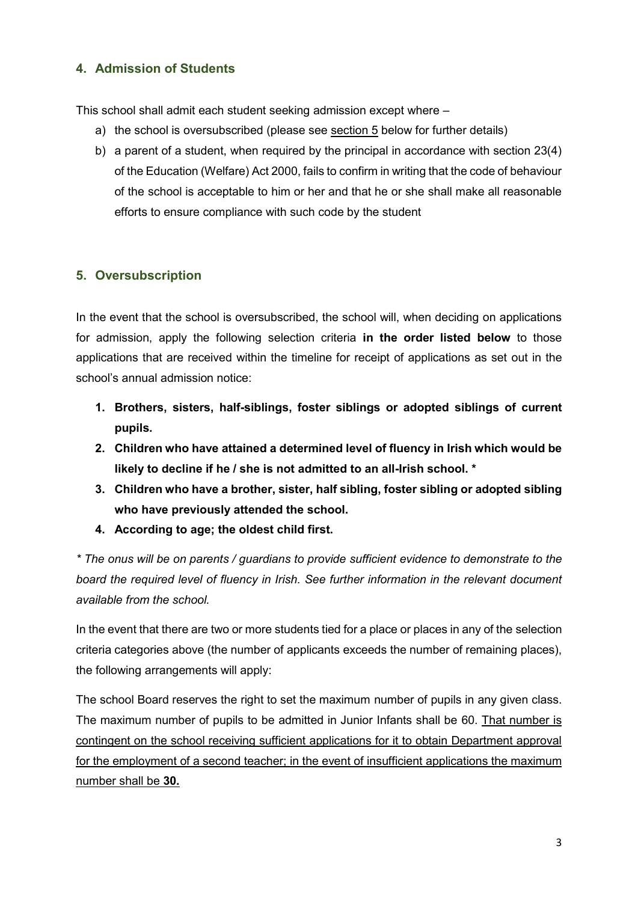# **4. Admission of Students**

This school shall admit each student seeking admission except where –

- a) the school is oversubscribed (please see [section 5](#page-2-0) below for further details)
- b) a parent of a student, when required by the principal in accordance with section 23(4) of the Education (Welfare) Act 2000, fails to confirm in writing that the code of behaviour of the school is acceptable to him or her and that he or she shall make all reasonable efforts to ensure compliance with such code by the student

# <span id="page-2-0"></span>**5. Oversubscription**

In the event that the school is oversubscribed, the school will, when deciding on applications for admission, apply the following selection criteria **in the order listed below** to those applications that are received within the timeline for receipt of applications as set out in the school's annual admission notice:

- **1. Brothers, sisters, half-siblings, foster siblings or adopted siblings of current pupils.**
- **2. Children who have attained a determined level of fluency in Irish which would be likely to decline if he / she is not admitted to an all-Irish school. \***
- **3. Children who have a brother, sister, half sibling, foster sibling or adopted sibling who have previously attended the school.**
- **4. According to age; the oldest child first.**

*\* The onus will be on parents / guardians to provide sufficient evidence to demonstrate to the board the required level of fluency in Irish. See further information in the relevant document available from the school.*

In the event that there are two or more students tied for a place or places in any of the selection criteria categories above (the number of applicants exceeds the number of remaining places), the following arrangements will apply:

The school Board reserves the right to set the maximum number of pupils in any given class. The maximum number of pupils to be admitted in Junior Infants shall be 60. That number is contingent on the school receiving sufficient applications for it to obtain Department approval for the employment of a second teacher; in the event of insufficient applications the maximum number shall be **30.**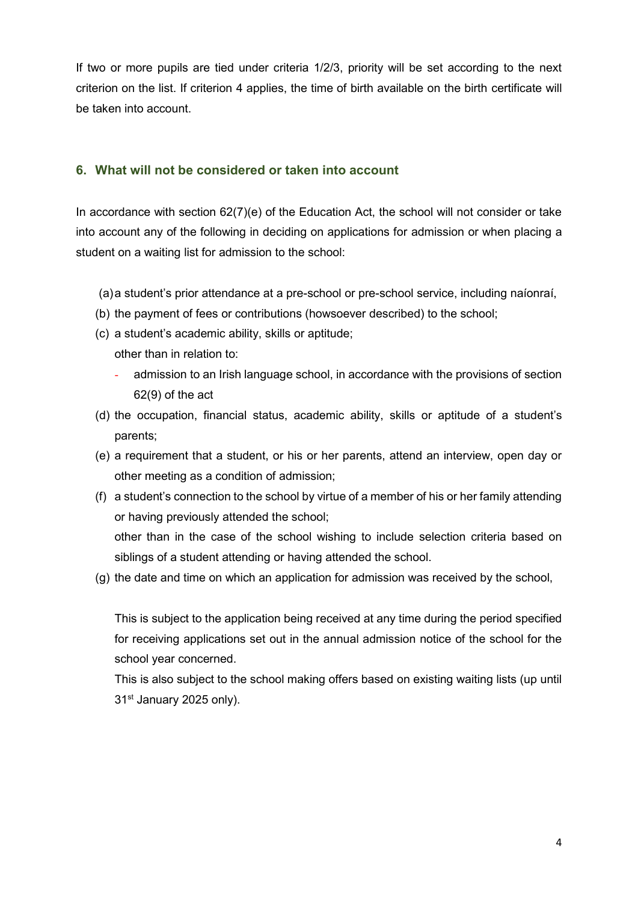If two or more pupils are tied under criteria 1/2/3, priority will be set according to the next criterion on the list. If criterion 4 applies, the time of birth available on the birth certificate will be taken into account.

### **6. What will not be considered or taken into account**

In accordance with section 62(7)(e) of the Education Act, the school will not consider or take into account any of the following in deciding on applications for admission or when placing a student on a waiting list for admission to the school:

- (a)a student's prior attendance at a pre-school or pre-school service, including naíonraí,
- (b) the payment of fees or contributions (howsoever described) to the school;
- (c) a student's academic ability, skills or aptitude;
	- other than in relation to:
		- admission to an Irish language school, in accordance with the provisions of section 62(9) of the act
- (d) the occupation, financial status, academic ability, skills or aptitude of a student's parents;
- (e) a requirement that a student, or his or her parents, attend an interview, open day or other meeting as a condition of admission;
- (f) a student's connection to the school by virtue of a member of his or her family attending or having previously attended the school; other than in the case of the school wishing to include selection criteria based on

siblings of a student attending or having attended the school.

(g) the date and time on which an application for admission was received by the school,

This is subject to the application being received at any time during the period specified for receiving applications set out in the annual admission notice of the school for the school year concerned.

This is also subject to the school making offers based on existing waiting lists (up until 31<sup>st</sup> January 2025 only).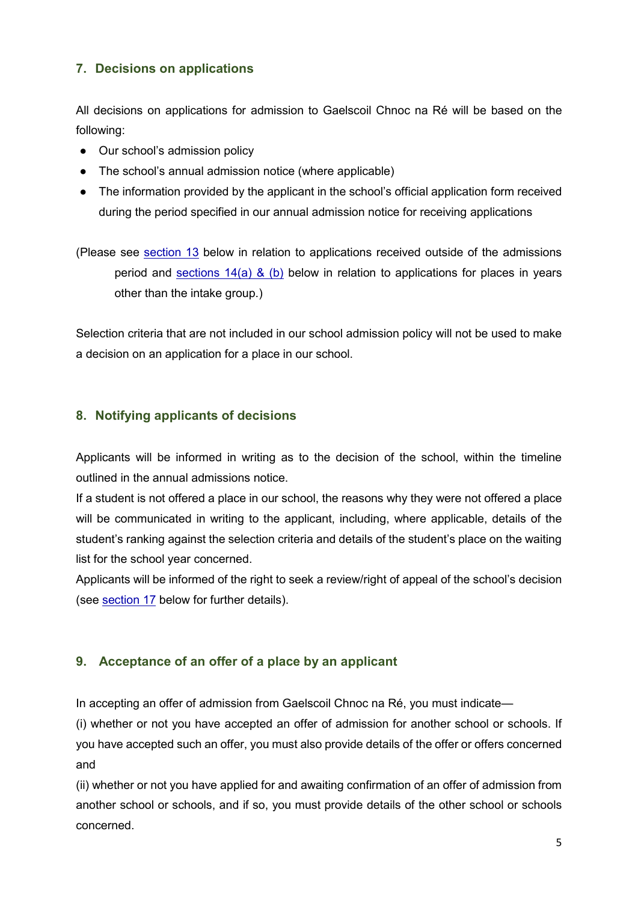# **7. Decisions on applications**

All decisions on applications for admission to Gaelscoil Chnoc na Ré will be based on the following:

- Our school's admission policy
- The school's annual admission notice (where applicable)
- The information provided by the applicant in the school's official application form received during the period specified in our annual admission notice for receiving applications

(Please see [section 13](#page-6-0) below in relation to applications received outside of the admissions period and [sections](#page-6-1)  $14(a)$  & (b) below in relation to applications for places in years other than the intake group.)

Selection criteria that are not included in our school admission policy will not be used to make a decision on an application for a place in our school.

### **8. Notifying applicants of decisions**

Applicants will be informed in writing as to the decision of the school, within the timeline outlined in the annual admissions notice.

If a student is not offered a place in our school, the reasons why they were not offered a place will be communicated in writing to the applicant, including, where applicable, details of the student's ranking against the selection criteria and details of the student's place on the waiting list for the school year concerned.

Applicants will be informed of the right to seek a review/right of appeal of the school's decision (see [section 17](#page-12-0) below for further details).

# <span id="page-4-0"></span>**9. Acceptance of an offer of a place by an applicant**

In accepting an offer of admission from Gaelscoil Chnoc na Ré, you must indicate—

(i) whether or not you have accepted an offer of admission for another school or schools. If you have accepted such an offer, you must also provide details of the offer or offers concerned and

(ii) whether or not you have applied for and awaiting confirmation of an offer of admission from another school or schools, and if so, you must provide details of the other school or schools concerned.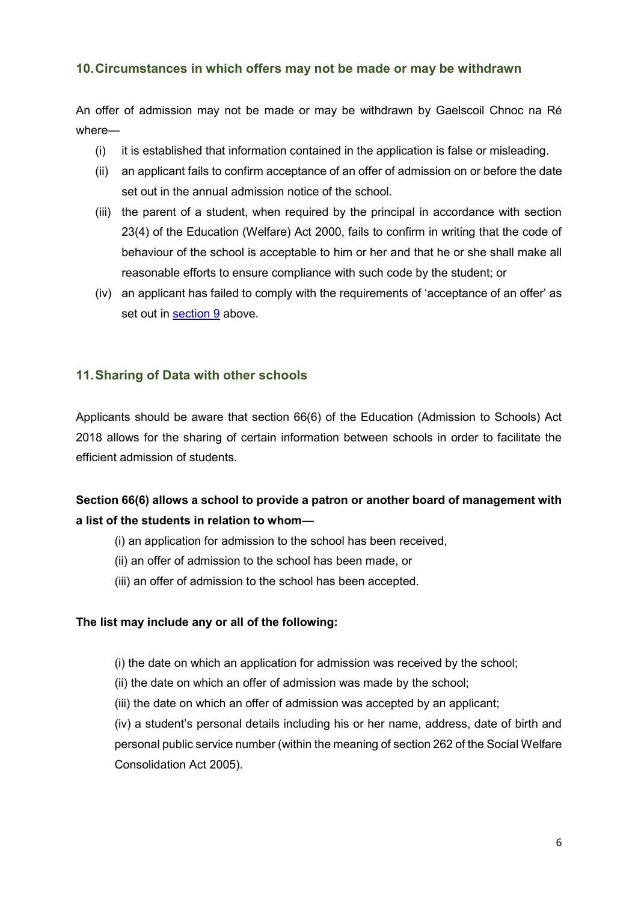### **10.Circumstances in which offers may not be made or may be withdrawn**

An offer of admission may not be made or may be withdrawn by Gaelscoil Chnoc na Ré where—

- (i) it is established that information contained in the application is false or misleading.
- (ii) an applicant fails to confirm acceptance of an offer of admission on or before the date set out in the annual admission notice of the school.
- (iii) the parent of a student, when required by the principal in accordance with section 23(4) of the Education (Welfare) Act 2000, fails to confirm in writing that the code of behaviour of the school is acceptable to him or her and that he or she shall make all reasonable efforts to ensure compliance with such code by the student; or
- (iv) an applicant has failed to comply with the requirements of 'acceptance of an offer' as set out in [section 9](#page-4-0) above.

### **11.Sharing of Data with other schools**

Applicants should be aware that section 66(6) of the Education (Admission to Schools) Act 2018 allows for the sharing of certain information between schools in order to facilitate the efficient admission of students.

# **Section 66(6) allows a school to provide a patron or another board of management with a list of the students in relation to whom—**

- (i) an application for admission to the school has been received,
- (ii) an offer of admission to the school has been made, or
- (iii) an offer of admission to the school has been accepted.

#### **The list may include any or all of the following:**

- (i) the date on which an application for admission was received by the school;
- (ii) the date on which an offer of admission was made by the school;
- (iii) the date on which an offer of admission was accepted by an applicant;

(iv) a student's personal details including his or her name, address, date of birth and personal public service number (within the meaning of section 262 of the Social Welfare Consolidation Act 2005).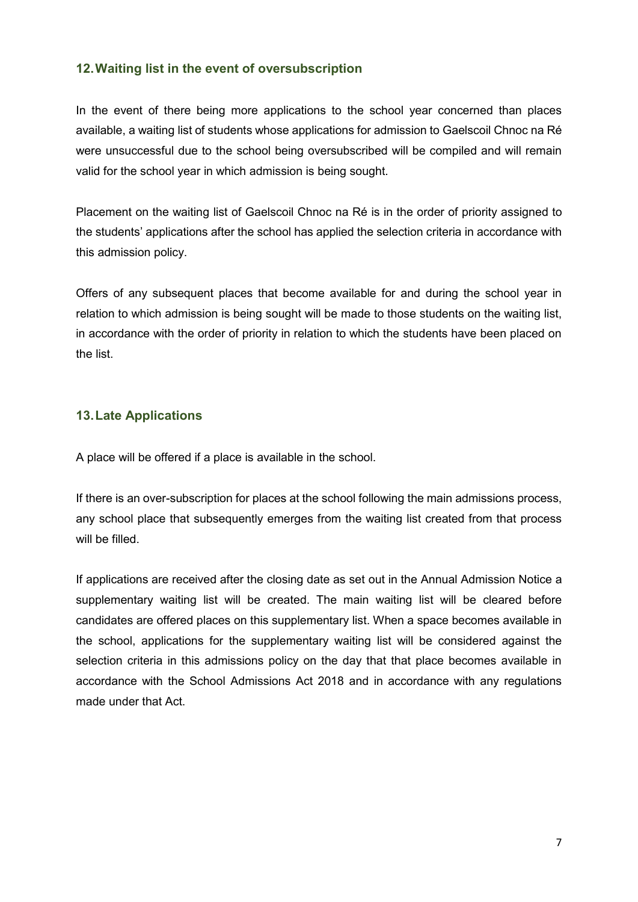### **12.Waiting list in the event of oversubscription**

In the event of there being more applications to the school year concerned than places available, a waiting list of students whose applications for admission to Gaelscoil Chnoc na Ré were unsuccessful due to the school being oversubscribed will be compiled and will remain valid for the school year in which admission is being sought.

Placement on the waiting list of Gaelscoil Chnoc na Ré is in the order of priority assigned to the students' applications after the school has applied the selection criteria in accordance with this admission policy.

Offers of any subsequent places that become available for and during the school year in relation to which admission is being sought will be made to those students on the waiting list, in accordance with the order of priority in relation to which the students have been placed on the list.

### <span id="page-6-0"></span>**13.Late Applications**

A place will be offered if a place is available in the school.

If there is an over-subscription for places at the school following the main admissions process, any school place that subsequently emerges from the waiting list created from that process will be filled.

<span id="page-6-1"></span>If applications are received after the closing date as set out in the Annual Admission Notice a supplementary waiting list will be created. The main waiting list will be cleared before candidates are offered places on this supplementary list. When a space becomes available in the school, applications for the supplementary waiting list will be considered against the selection criteria in this admissions policy on the day that that place becomes available in accordance with the School Admissions Act 2018 and in accordance with any regulations made under that Act.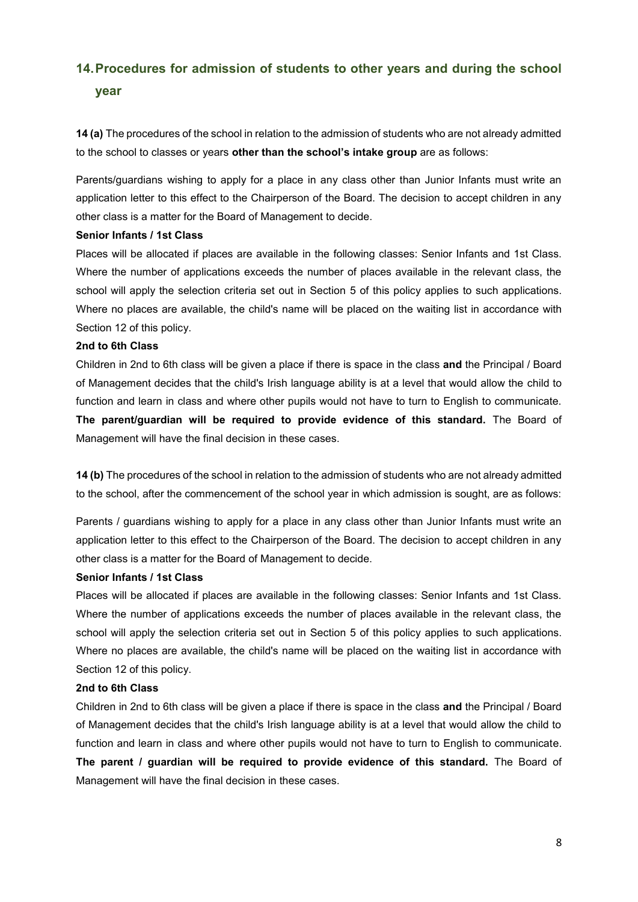# **14.Procedures for admission of students to other years and during the school year**

**14 (a)** The procedures of the school in relation to the admission of students who are not already admitted to the school to classes or years **other than the school's intake group** are as follows:

Parents/guardians wishing to apply for a place in any class other than Junior Infants must write an application letter to this effect to the Chairperson of the Board. The decision to accept children in any other class is a matter for the Board of Management to decide.

#### **Senior Infants / 1st Class**

Places will be allocated if places are available in the following classes: Senior Infants and 1st Class. Where the number of applications exceeds the number of places available in the relevant class, the school will apply the selection criteria set out in Section 5 of this policy applies to such applications. Where no places are available, the child's name will be placed on the waiting list in accordance with Section 12 of this policy.

#### **2nd to 6th Class**

Children in 2nd to 6th class will be given a place if there is space in the class **and** the Principal / Board of Management decides that the child's Irish language ability is at a level that would allow the child to function and learn in class and where other pupils would not have to turn to English to communicate. **The parent/guardian will be required to provide evidence of this standard.** The Board of Management will have the final decision in these cases.

**14 (b)** The procedures of the school in relation to the admission of students who are not already admitted to the school, after the commencement of the school year in which admission is sought, are as follows:

Parents / guardians wishing to apply for a place in any class other than Junior Infants must write an application letter to this effect to the Chairperson of the Board. The decision to accept children in any other class is a matter for the Board of Management to decide.

#### **Senior Infants / 1st Class**

Places will be allocated if places are available in the following classes: Senior Infants and 1st Class. Where the number of applications exceeds the number of places available in the relevant class, the school will apply the selection criteria set out in Section 5 of this policy applies to such applications. Where no places are available, the child's name will be placed on the waiting list in accordance with Section 12 of this policy.

#### **2nd to 6th Class**

Children in 2nd to 6th class will be given a place if there is space in the class **and** the Principal / Board of Management decides that the child's Irish language ability is at a level that would allow the child to function and learn in class and where other pupils would not have to turn to English to communicate. **The parent / guardian will be required to provide evidence of this standard.** The Board of Management will have the final decision in these cases.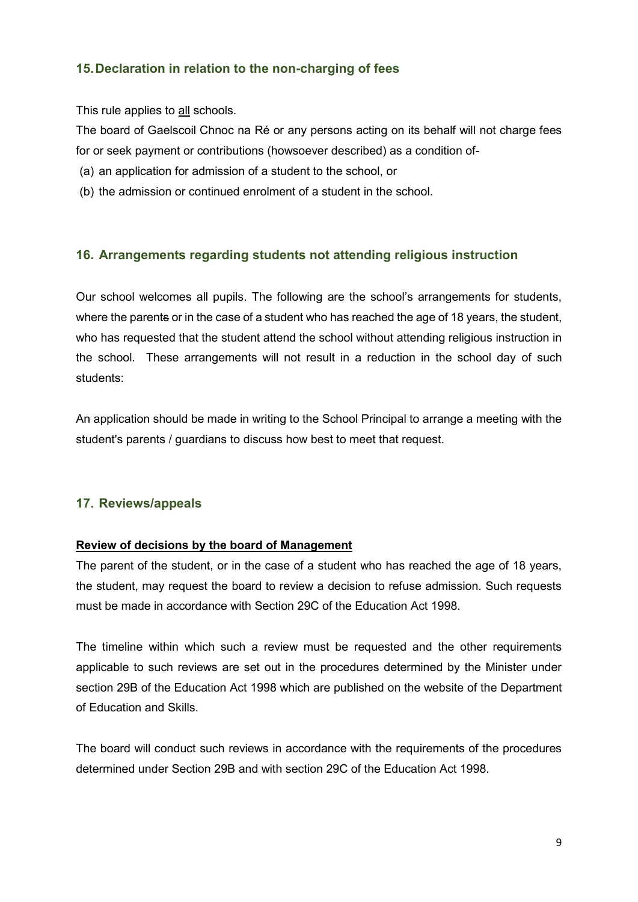# **15.Declaration in relation to the non-charging of fees**

This rule applies to all schools.

The board of Gaelscoil Chnoc na Ré or any persons acting on its behalf will not charge fees for or seek payment or contributions (howsoever described) as a condition of-

- (a) an application for admission of a student to the school, or
- (b) the admission or continued enrolment of a student in the school.

## **16. Arrangements regarding students not attending religious instruction**

Our school welcomes all pupils. The following are the school's arrangements for students, where the parents or in the case of a student who has reached the age of 18 years, the student, who has requested that the student attend the school without attending religious instruction in the school. These arrangements will not result in a reduction in the school day of such students:

An application should be made in writing to the School Principal to arrange a meeting with the student's parents / guardians to discuss how best to meet that request.

### **17. Reviews/appeals**

#### **Review of decisions by the board of Management**

The parent of the student, or in the case of a student who has reached the age of 18 years, the student, may request the board to review a decision to refuse admission. Such requests must be made in accordance with Section 29C of the Education Act 1998.

The timeline within which such a review must be requested and the other requirements applicable to such reviews are set out in the procedures determined by the Minister under section 29B of the Education Act 1998 which are published on the website of the Department of Education and Skills.

The board will conduct such reviews in accordance with the requirements of the procedures determined under Section 29B and with section 29C of the Education Act 1998.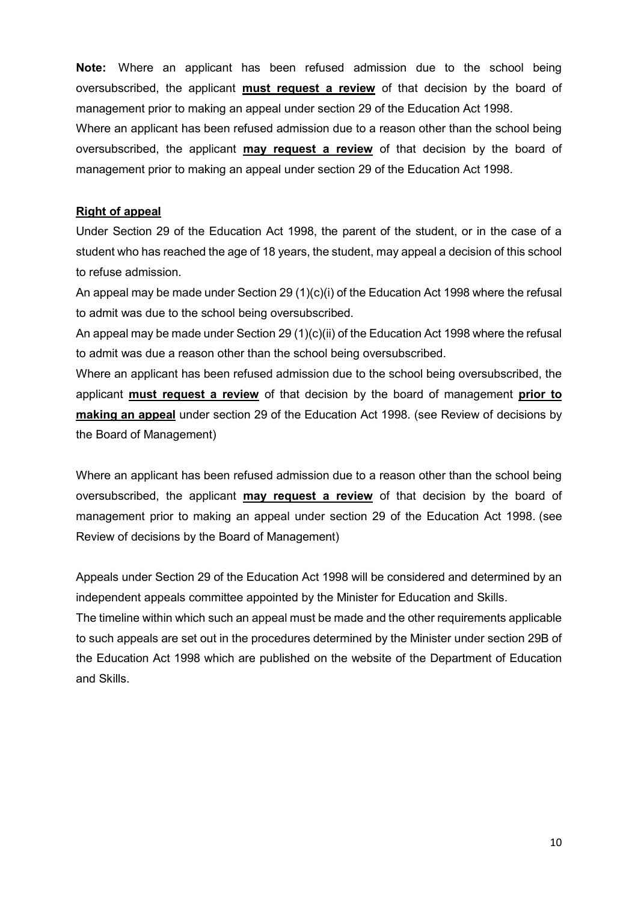**Note:** Where an applicant has been refused admission due to the school being oversubscribed, the applicant **must request a review** of that decision by the board of management prior to making an appeal under section 29 of the Education Act 1998.

Where an applicant has been refused admission due to a reason other than the school being oversubscribed, the applicant **may request a review** of that decision by the board of management prior to making an appeal under section 29 of the Education Act 1998.

### **Right of appeal**

Under Section 29 of the Education Act 1998, the parent of the student, or in the case of a student who has reached the age of 18 years, the student, may appeal a decision of this school to refuse admission.

An appeal may be made under Section 29 (1)(c)(i) of the Education Act 1998 where the refusal to admit was due to the school being oversubscribed.

An appeal may be made under Section 29 (1)(c)(ii) of the Education Act 1998 where the refusal to admit was due a reason other than the school being oversubscribed.

Where an applicant has been refused admission due to the school being oversubscribed, the applicant **must request a review** of that decision by the board of management **prior to making an appeal** under section 29 of the Education Act 1998. (see Review of decisions by the Board of Management)

Where an applicant has been refused admission due to a reason other than the school being oversubscribed, the applicant **may request a review** of that decision by the board of management prior to making an appeal under section 29 of the Education Act 1998. (see Review of decisions by the Board of Management)

Appeals under Section 29 of the Education Act 1998 will be considered and determined by an independent appeals committee appointed by the Minister for Education and Skills.

The timeline within which such an appeal must be made and the other requirements applicable to such appeals are set out in the procedures determined by the Minister under section 29B of the Education Act 1998 which are published on the website of the Department of Education and Skills.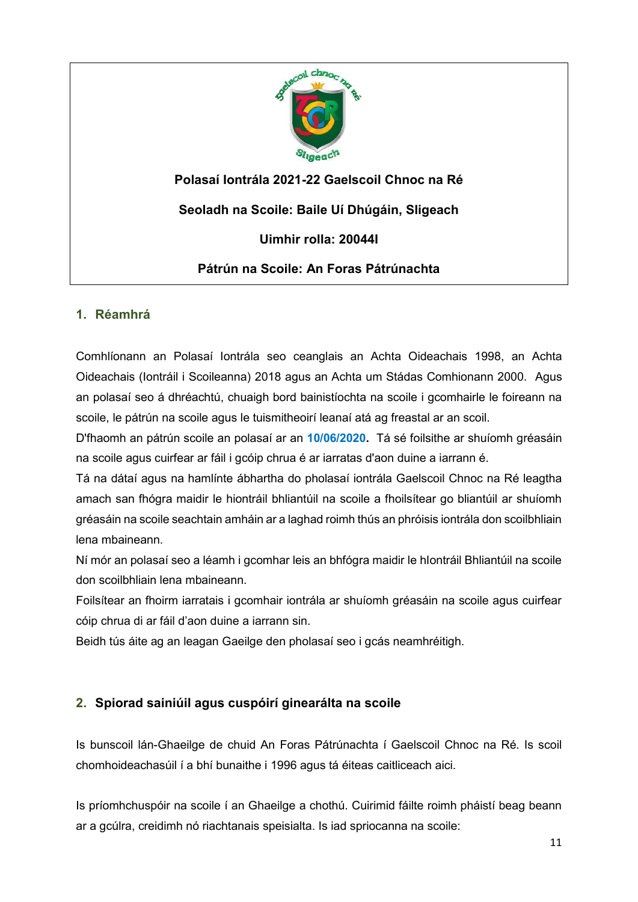

**Polasaí Iontrála 2021-22 Gaelscoil Chnoc na Ré Seoladh na Scoile: Baile Uí Dhúgáin, Sligeach**

**Uimhir rolla: 20044I**

**Pátrún na Scoile: An Foras Pátrúnachta**

## **1. Réamhrá**

Comhlíonann an Polasaí Iontrála seo ceanglais an Achta Oideachais 1998, an Achta Oideachais (Iontráil i Scoileanna) 2018 agus an Achta um Stádas Comhionann 2000. Agus an polasaí seo á dhréachtú, chuaigh bord bainistíochta na scoile i gcomhairle le foireann na scoile, le pátrún na scoile agus le tuismitheoirí leanaí atá ag freastal ar an scoil.

D'fhaomh an pátrún scoile an polasaí ar an **10/06/2020.** Tá sé foilsithe ar shuíomh gréasáin na scoile agus cuirfear ar fáil i gcóip chrua é ar iarratas d'aon duine a iarrann é.

Tá na dátaí agus na hamlínte ábhartha do pholasaí iontrála Gaelscoil Chnoc na Ré leagtha amach san fhógra maidir le hiontráil bhliantúil na scoile a fhoilsítear go bliantúil ar shuíomh gréasáin na scoile seachtain amháin ar a laghad roimh thús an phróisis iontrála don scoilbhliain lena mbaineann.

Ní mór an polasaí seo a léamh i gcomhar leis an bhfógra maidir le hIontráil Bhliantúil na scoile don scoilbhliain lena mbaineann.

Foilsítear an fhoirm iarratais i gcomhair iontrála ar shuíomh gréasáin na scoile agus cuirfear cóip chrua di ar fáil d'aon duine a iarrann sin.

Beidh tús áite ag an leagan Gaeilge den pholasaí seo i gcás neamhréitigh.

# **2. Spiorad sainiúil agus cuspóirí ginearálta na scoile**

Is bunscoil lán-Ghaeilge de chuid An Foras Pátrúnachta í Gaelscoil Chnoc na Ré. Is scoil chomhoideachasúil í a bhí bunaithe i 1996 agus tá éiteas caitliceach aici.

Is príomhchuspóir na scoile í an Ghaeilge a chothú. Cuirimid fáilte roimh pháistí beag beann ar a gcúlra, creidimh nó riachtanais speisialta. Is iad spriocanna na scoile: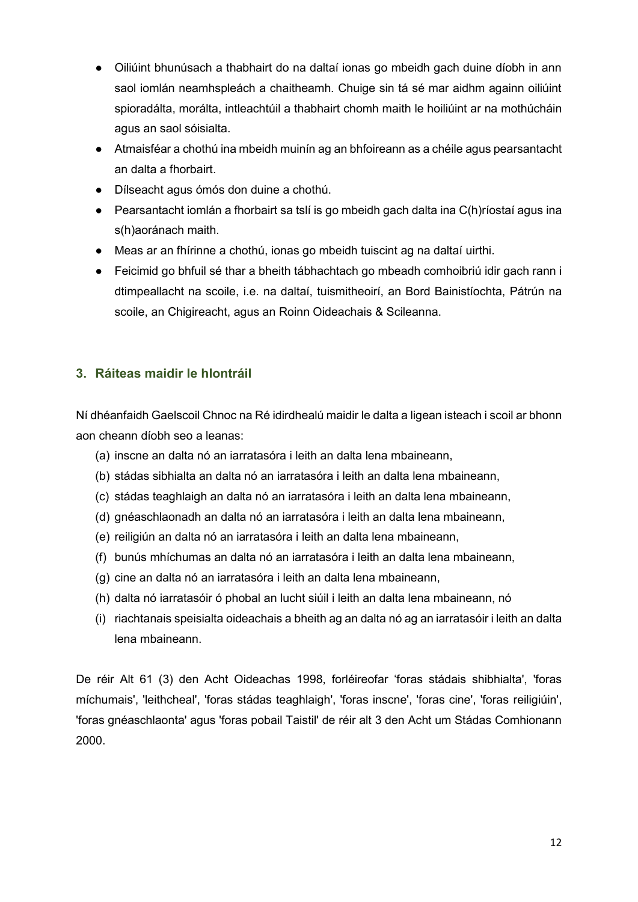- Oiliúint bhunúsach a thabhairt do na daltaí ionas go mbeidh gach duine díobh in ann saol iomlán neamhspleách a chaitheamh. Chuige sin tá sé mar aidhm againn oiliúint spioradálta, morálta, intleachtúil a thabhairt chomh maith le hoiliúint ar na mothúcháin agus an saol sóisialta.
- Atmaisféar a chothú ina mbeidh muinín ag an bhfoireann as a chéile agus pearsantacht an dalta a fhorbairt.
- Dílseacht agus ómós don duine a chothú.
- Pearsantacht iomlán a fhorbairt sa tslí is go mbeidh gach dalta ina C(h)ríostaí agus ina s(h)aoránach maith.
- Meas ar an fhírinne a chothú, ionas go mbeidh tuiscint ag na daltaí uirthi.
- Feicimid go bhfuil sé thar a bheith tábhachtach go mbeadh comhoibriú idir gach rann i dtimpeallacht na scoile, i.e. na daltaí, tuismitheoirí, an Bord Bainistíochta, Pátrún na scoile, an Chigireacht, agus an Roinn Oideachais & Scileanna.

# **3. Ráiteas maidir le hIontráil**

Ní dhéanfaidh Gaelscoil Chnoc na Ré idirdhealú maidir le dalta a ligean isteach i scoil ar bhonn aon cheann díobh seo a leanas:

- (a) inscne an dalta nó an iarratasóra i leith an dalta lena mbaineann,
- (b) stádas sibhialta an dalta nó an iarratasóra i leith an dalta lena mbaineann,
- (c) stádas teaghlaigh an dalta nó an iarratasóra i leith an dalta lena mbaineann,
- (d) gnéaschlaonadh an dalta nó an iarratasóra i leith an dalta lena mbaineann,
- (e) reiligiún an dalta nó an iarratasóra i leith an dalta lena mbaineann,
- (f) bunús mhíchumas an dalta nó an iarratasóra i leith an dalta lena mbaineann,
- (g) cine an dalta nó an iarratasóra i leith an dalta lena mbaineann,
- (h) dalta nó iarratasóir ó phobal an lucht siúil i leith an dalta lena mbaineann, nó
- (i) riachtanais speisialta oideachais a bheith ag an dalta nó ag an iarratasóir i leith an dalta lena mbaineann.

De réir Alt 61 (3) den Acht Oideachas 1998, forléireofar 'foras stádais shibhialta', 'foras míchumais', 'leithcheal', 'foras stádas teaghlaigh', 'foras inscne', 'foras cine', 'foras reiligiúin', 'foras gnéaschlaonta' agus 'foras pobail Taistil' de réir alt 3 den Acht um Stádas Comhionann 2000.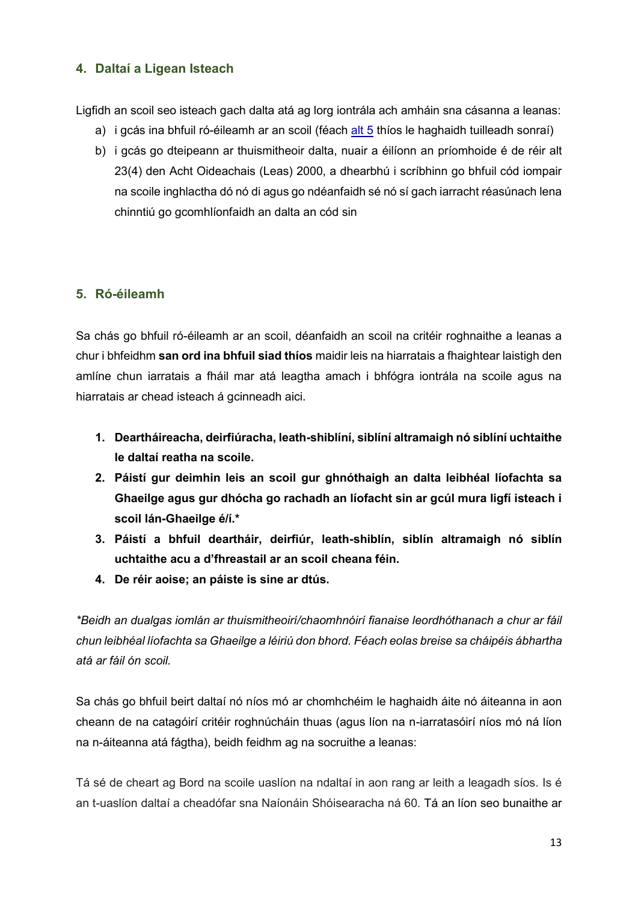## **4. Daltaí a Ligean Isteach**

Ligfidh an scoil seo isteach gach dalta atá ag lorg iontrála ach amháin sna cásanna a leanas:

- a) i gcás ina bhfuil ró-éileamh ar an scoil (féach [alt 5](file:///C:/Users/user/Desktop/scoil2020/foras/PolasaiIontrala/Claruchain2021/20044I-GSChnoc%20na%20Ré-Polasaí%20Iontrála.docx%23_heading=h.gjdgxs) thíos le haghaidh tuilleadh sonraí)
- b) i gcás go dteipeann ar thuismitheoir dalta, nuair a éilíonn an príomhoide é de réir alt 23(4) den Acht Oideachais (Leas) 2000, a dhearbhú i scríbhinn go bhfuil cód iompair na scoile inghlactha dó nó di agus go ndéanfaidh sé nó sí gach iarracht réasúnach lena chinntiú go gcomhlíonfaidh an dalta an cód sin

### **5. Ró-éileamh**

Sa chás go bhfuil ró-éileamh ar an scoil, déanfaidh an scoil na critéir roghnaithe a leanas a chur i bhfeidhm **san ord ina bhfuil siad thíos** maidir leis na hiarratais a fhaightear laistigh den amlíne chun iarratais a fháil mar atá leagtha amach i bhfógra iontrála na scoile agus na hiarratais ar chead isteach á gcinneadh aici.

- **1. Deartháireacha, deirfiúracha, leath-shiblíní, siblíní altramaigh nó siblíní uchtaithe le daltaí reatha na scoile.**
- **2. Páistí gur deimhin leis an scoil gur ghnóthaigh an dalta leibhéal líofachta sa Ghaeilge agus gur dhócha go rachadh an líofacht sin ar gcúl mura ligfí isteach i scoil lán-Ghaeilge é/í.\***
- **3. Páistí a bhfuil deartháir, deirfiúr, leath-shiblín, siblín altramaigh nó siblín uchtaithe acu a d'fhreastail ar an scoil cheana féin.**
- **4. De réir aoise; an páiste is sine ar dtús.**

*\*Beidh an dualgas iomlán ar thuismitheoirí/chaomhnóirí fianaise leordhóthanach a chur ar fáil chun leibhéal líofachta sa Ghaeilge a léiriú don bhord. Féach eolas breise sa cháipéis ábhartha atá ar fáil ón scoil.* 

Sa chás go bhfuil beirt daltaí nó níos mó ar chomhchéim le haghaidh áite nó áiteanna in aon cheann de na catagóirí critéir roghnúcháin thuas (agus líon na n-iarratasóirí níos mó ná líon na n-áiteanna atá fágtha), beidh feidhm ag na socruithe a leanas:

<span id="page-12-0"></span>Tá sé de cheart ag Bord na scoile uaslíon na ndaltaí in aon rang ar leith a leagadh síos. Is é an t-uaslíon daltaí a cheadófar sna Naíonáin Shóisearacha ná 60. Tá an líon seo bunaithe ar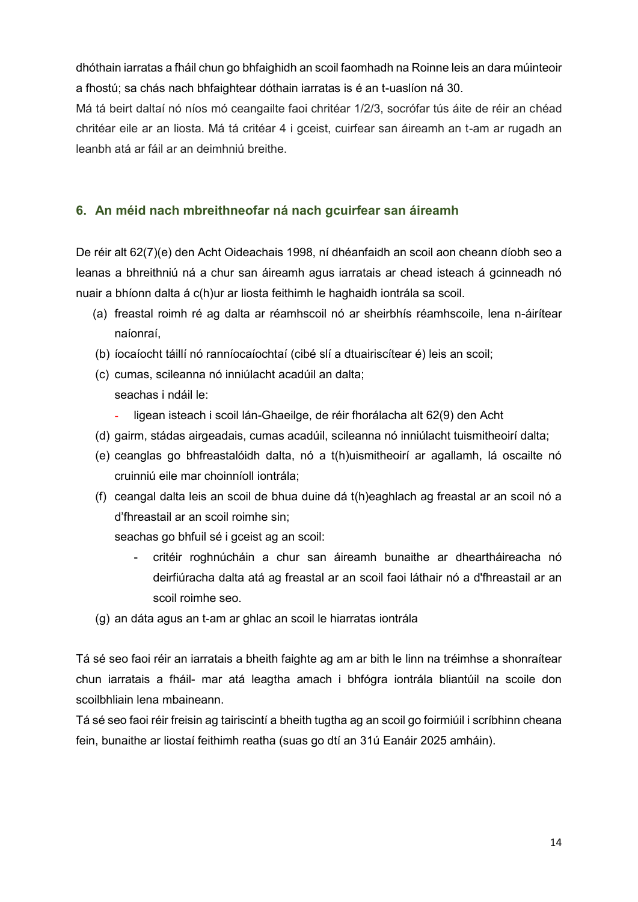dhóthain iarratas a fháil chun go bhfaighidh an scoil faomhadh na Roinne leis an dara múinteoir a fhostú; sa chás nach bhfaightear dóthain iarratas is é an t-uaslíon ná 30.

Má tá beirt daltaí nó níos mó ceangailte faoi chritéar 1/2/3, socrófar tús áite de réir an chéad chritéar eile ar an liosta. Má tá critéar 4 i gceist, cuirfear san áireamh an t-am ar rugadh an leanbh atá ar fáil ar an deimhniú breithe.

# **6. An méid nach mbreithneofar ná nach gcuirfear san áireamh**

De réir alt 62(7)(e) den Acht Oideachais 1998, ní dhéanfaidh an scoil aon cheann díobh seo a leanas a bhreithniú ná a chur san áireamh agus iarratais ar chead isteach á gcinneadh nó nuair a bhíonn dalta á c(h)ur ar liosta feithimh le haghaidh iontrála sa scoil.

- (a) freastal roimh ré ag dalta ar réamhscoil nó ar sheirbhís réamhscoile, lena n-áirítear naíonraí,
- (b) íocaíocht táillí nó ranníocaíochtaí (cibé slí a dtuairiscítear é) leis an scoil;
- (c) cumas, scileanna nó inniúlacht acadúil an dalta; seachas i ndáil le:
	- ligean isteach i scoil lán-Ghaeilge, de réir fhorálacha alt 62(9) den Acht
- (d) gairm, stádas airgeadais, cumas acadúil, scileanna nó inniúlacht tuismitheoirí dalta;
- (e) ceanglas go bhfreastalóidh dalta, nó a t(h)uismitheoirí ar agallamh, lá oscailte nó cruinniú eile mar choinníoll iontrála;
- (f) ceangal dalta leis an scoil de bhua duine dá t(h)eaghlach ag freastal ar an scoil nó a d'fhreastail ar an scoil roimhe sin;
	- seachas go bhfuil sé i gceist ag an scoil:
		- critéir roghnúcháin a chur san áireamh bunaithe ar dheartháireacha nó deirfiúracha dalta atá ag freastal ar an scoil faoi láthair nó a d'fhreastail ar an scoil roimhe seo.
- (g) an dáta agus an t-am ar ghlac an scoil le hiarratas iontrála

Tá sé seo faoi réir an iarratais a bheith faighte ag am ar bith le linn na tréimhse a shonraítear chun iarratais a fháil- mar atá leagtha amach i bhfógra iontrála bliantúil na scoile don scoilbhliain lena mbaineann.

Tá sé seo faoi réir freisin ag tairiscintí a bheith tugtha ag an scoil go foirmiúil i scríbhinn cheana fein, bunaithe ar liostaí feithimh reatha (suas go dtí an 31ú Eanáir 2025 amháin).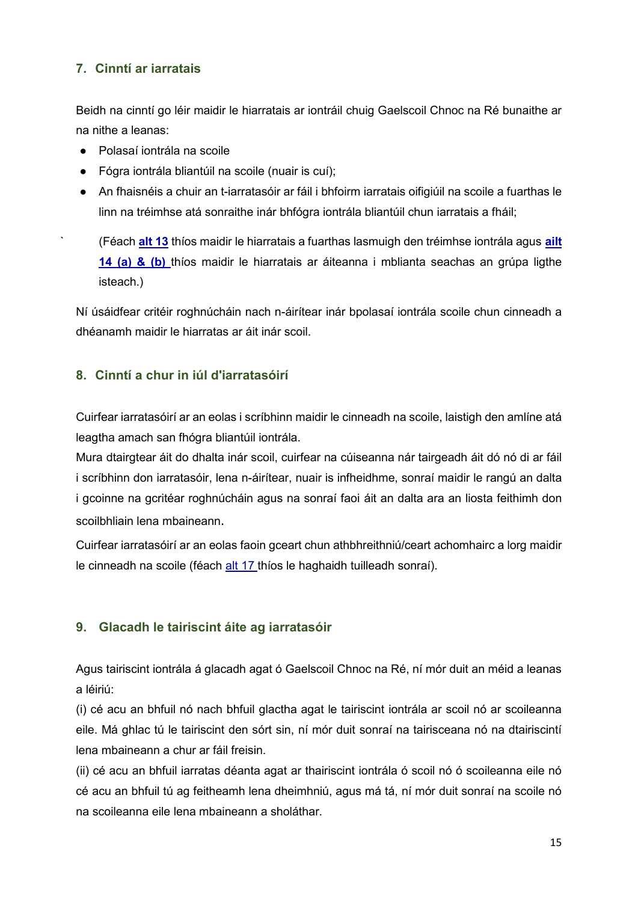# **7. Cinntí ar iarratais**

Beidh na cinntí go léir maidir le hiarratais ar iontráil chuig Gaelscoil Chnoc na Ré bunaithe ar na nithe a leanas:

- Polasaí iontrála na scoile
- Fógra iontrála bliantúil na scoile (nuair is cuí);
- An fhaisnéis a chuir an t-iarratasóir ar fáil i bhfoirm iarratais oifigiúil na scoile a fuarthas le linn na tréimhse atá sonraithe inár bhfógra iontrála bliantúil chun iarratais a fháil;

` (Féach **[alt 13](file:///C:/Users/user/Desktop/scoil2020/foras/PolasaiIontrala/Claruchain2021/20044I-GSChnoc%20na%20Ré-Polasaí%20Iontrála.docx%23_heading=h.2et92p0)** thíos maidir le hiarratais a fuarthas lasmuigh den tréimhse iontrála agus **[ailt](file:///C:/Users/user/Desktop/scoil2020/foras/PolasaiIontrala/Claruchain2021/20044I-GSChnoc%20na%20Ré-Polasaí%20Iontrála.docx%23_heading=h.tyjcwt)  [14 \(a\) & \(b\)](file:///C:/Users/user/Desktop/scoil2020/foras/PolasaiIontrala/Claruchain2021/20044I-GSChnoc%20na%20Ré-Polasaí%20Iontrála.docx%23_heading=h.tyjcwt)** thíos maidir le hiarratais ar áiteanna i mblianta seachas an grúpa ligthe isteach.)

Ní úsáidfear critéir roghnúcháin nach n-áirítear inár bpolasaí iontrála scoile chun cinneadh a dhéanamh maidir le hiarratas ar áit inár scoil.

## **8. Cinntí a chur in iúl d'iarratasóirí**

Cuirfear iarratasóirí ar an eolas i scríbhinn maidir le cinneadh na scoile, laistigh den amlíne atá leagtha amach san fhógra bliantúil iontrála.

Mura dtairgtear áit do dhalta inár scoil, cuirfear na cúiseanna nár tairgeadh áit dó nó di ar fáil i scríbhinn don iarratasóir, lena n-áirítear, nuair is infheidhme, sonraí maidir le rangú an dalta i gcoinne na gcritéar roghnúcháin agus na sonraí faoi áit an dalta ara an liosta feithimh don scoilbhliain lena mbaineann.

Cuirfear iarratasóirí ar an eolas faoin gceart chun athbhreithniú/ceart achomhairc a lorg maidir le cinneadh na scoile (féach [alt 17](file:///C:/Users/user/Desktop/scoil2020/foras/PolasaiIontrala/Claruchain2021/20044I-GSChnoc%20na%20Ré-Polasaí%20Iontrála.docx%23_heading=h.4d34og8) thíos le haghaidh tuilleadh sonraí).

# **9. Glacadh le tairiscint áite ag iarratasóir**

Agus tairiscint iontrála á glacadh agat ó Gaelscoil Chnoc na Ré, ní mór duit an méid a leanas a léiriú:

(i) cé acu an bhfuil nó nach bhfuil glactha agat le tairiscint iontrála ar scoil nó ar scoileanna eile. Má ghlac tú le tairiscint den sórt sin, ní mór duit sonraí na tairisceana nó na dtairiscintí lena mbaineann a chur ar fáil freisin.

(ii) cé acu an bhfuil iarratas déanta agat ar thairiscint iontrála ó scoil nó ó scoileanna eile nó cé acu an bhfuil tú ag feitheamh lena dheimhniú, agus má tá, ní mór duit sonraí na scoile nó na scoileanna eile lena mbaineann a sholáthar.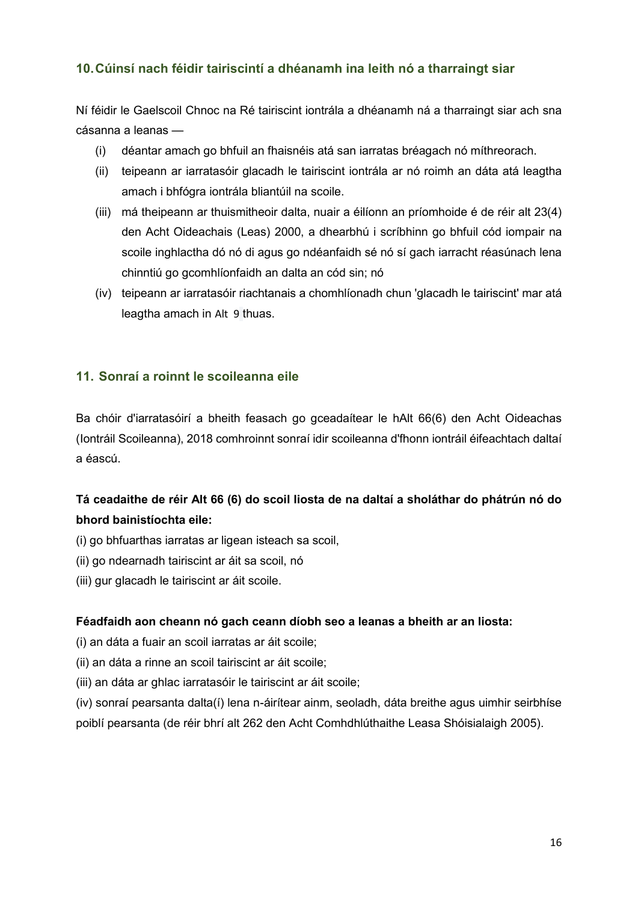# **10.Cúinsí nach féidir tairiscintí a dhéanamh ina leith nó a tharraingt siar**

Ní féidir le Gaelscoil Chnoc na Ré tairiscint iontrála a dhéanamh ná a tharraingt siar ach sna cásanna a leanas —

- (i) déantar amach go bhfuil an fhaisnéis atá san iarratas bréagach nó míthreorach.
- (ii) teipeann ar iarratasóir glacadh le tairiscint iontrála ar nó roimh an dáta atá leagtha amach i bhfógra iontrála bliantúil na scoile.
- (iii) má theipeann ar thuismitheoir dalta, nuair a éilíonn an príomhoide é de réir alt 23(4) den Acht Oideachais (Leas) 2000, a dhearbhú i scríbhinn go bhfuil cód iompair na scoile inghlactha dó nó di agus go ndéanfaidh sé nó sí gach iarracht réasúnach lena chinntiú go gcomhlíonfaidh an dalta an cód sin; nó
- (iv) teipeann ar iarratasóir riachtanais a chomhlíonadh chun 'glacadh le tairiscint' mar atá leagtha amach in Alt 9 thuas.

## **11. Sonraí a roinnt le scoileanna eile**

Ba chóir d'iarratasóirí a bheith feasach go gceadaítear le hAlt 66(6) den Acht Oideachas (Iontráil Scoileanna), 2018 comhroinnt sonraí idir scoileanna d'fhonn iontráil éifeachtach daltaí a éascú.

# **Tá ceadaithe de réir Alt 66 (6) do scoil liosta de na daltaí a sholáthar do phátrún nó do bhord bainistíochta eile:**

- (i) go bhfuarthas iarratas ar ligean isteach sa scoil,
- (ii) go ndearnadh tairiscint ar áit sa scoil, nó
- (iii) gur glacadh le tairiscint ar áit scoile.

#### **Féadfaidh aon cheann nó gach ceann díobh seo a leanas a bheith ar an liosta:**

- (i) an dáta a fuair an scoil iarratas ar áit scoile;
- (ii) an dáta a rinne an scoil tairiscint ar áit scoile;
- (iii) an dáta ar ghlac iarratasóir le tairiscint ar áit scoile;

(iv) sonraí pearsanta dalta(í) lena n-áirítear ainm, seoladh, dáta breithe agus uimhir seirbhíse poiblí pearsanta (de réir bhrí alt 262 den Acht Comhdhlúthaithe Leasa Shóisialaigh 2005).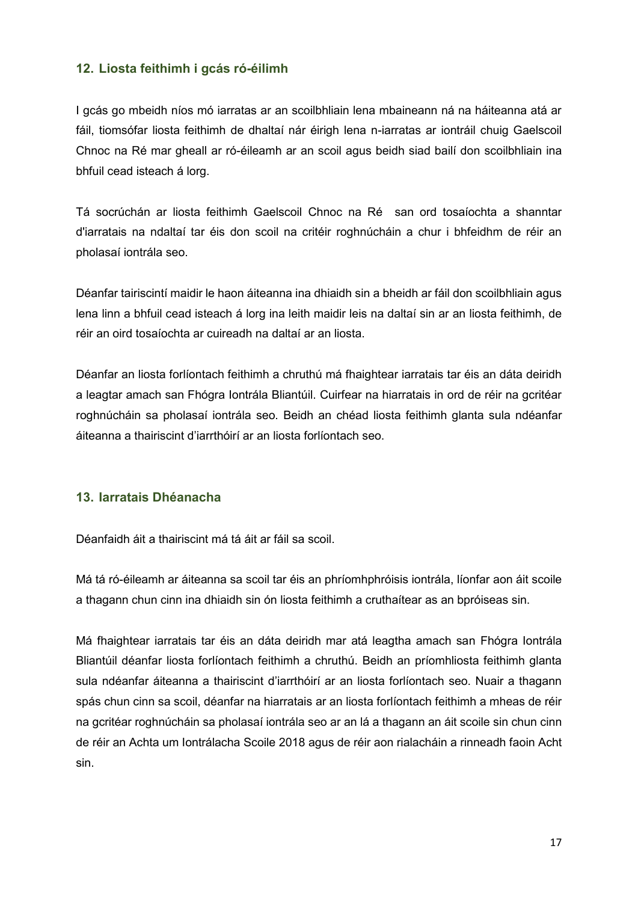### **12. Liosta feithimh i gcás ró-éilimh**

I gcás go mbeidh níos mó iarratas ar an scoilbhliain lena mbaineann ná na háiteanna atá ar fáil, tiomsófar liosta feithimh de dhaltaí nár éirigh lena n-iarratas ar iontráil chuig Gaelscoil Chnoc na Ré mar gheall ar ró-éileamh ar an scoil agus beidh siad bailí don scoilbhliain ina bhfuil cead isteach á lorg.

Tá socrúchán ar liosta feithimh Gaelscoil Chnoc na Ré san ord tosaíochta a shanntar d'iarratais na ndaltaí tar éis don scoil na critéir roghnúcháin a chur i bhfeidhm de réir an pholasaí iontrála seo.

Déanfar tairiscintí maidir le haon áiteanna ina dhiaidh sin a bheidh ar fáil don scoilbhliain agus lena linn a bhfuil cead isteach á lorg ina leith maidir leis na daltaí sin ar an liosta feithimh, de réir an oird tosaíochta ar cuireadh na daltaí ar an liosta.

Déanfar an liosta forlíontach feithimh a chruthú má fhaightear iarratais tar éis an dáta deiridh a leagtar amach san Fhógra Iontrála Bliantúil. Cuirfear na hiarratais in ord de réir na gcritéar roghnúcháin sa pholasaí iontrála seo. Beidh an chéad liosta feithimh glanta sula ndéanfar áiteanna a thairiscint d'iarrthóirí ar an liosta forlíontach seo.

#### **13. Iarratais Dhéanacha**

Déanfaidh áit a thairiscint má tá áit ar fáil sa scoil.

Má tá ró-éileamh ar áiteanna sa scoil tar éis an phríomhphróisis iontrála, líonfar aon áit scoile a thagann chun cinn ina dhiaidh sin ón liosta feithimh a cruthaítear as an bpróiseas sin.

Má fhaightear iarratais tar éis an dáta deiridh mar atá leagtha amach san Fhógra Iontrála Bliantúil déanfar liosta forlíontach feithimh a chruthú. Beidh an príomhliosta feithimh glanta sula ndéanfar áiteanna a thairiscint d'iarrthóirí ar an liosta forlíontach seo. Nuair a thagann spás chun cinn sa scoil, déanfar na hiarratais ar an liosta forlíontach feithimh a mheas de réir na gcritéar roghnúcháin sa pholasaí iontrála seo ar an lá a thagann an áit scoile sin chun cinn de réir an Achta um Iontrálacha Scoile 2018 agus de réir aon rialacháin a rinneadh faoin Acht sin.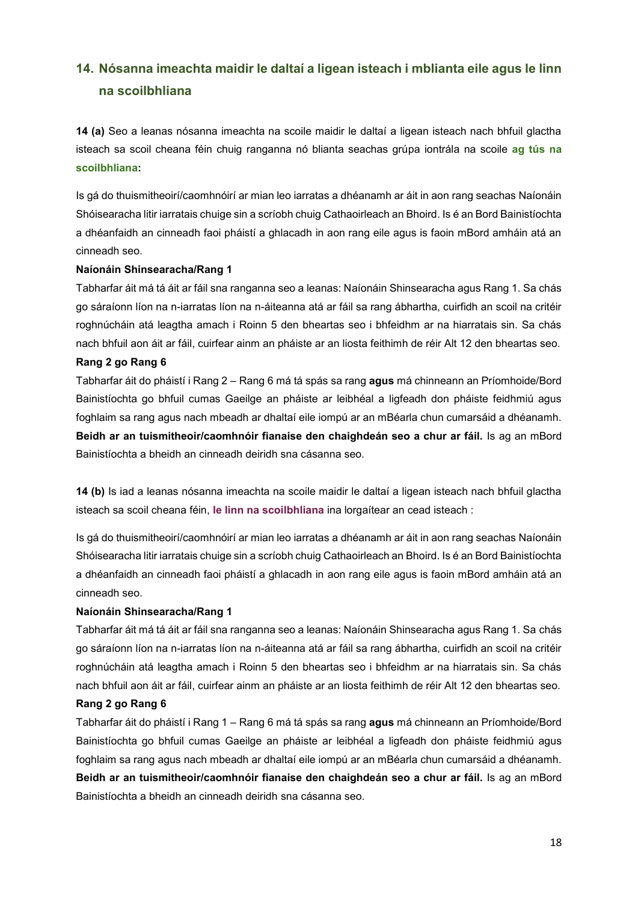# **14. Nósanna imeachta maidir le daltaí a ligean isteach i mblianta eile agus le linn na scoilbhliana**

**14 (a)** Seo a leanas nósanna imeachta na scoile maidir le daltaí a ligean isteach nach bhfuil glactha isteach sa scoil cheana féin chuig ranganna nó blianta seachas grúpa iontrála na scoile **ag tús na scoilbhliana:**

Is gá do thuismitheoirí/caomhnóirí ar mian leo iarratas a dhéanamh ar áit in aon rang seachas Naíonáin Shóisearacha litir iarratais chuige sin a scríobh chuig Cathaoirleach an Bhoird. Is é an Bord Bainistíochta a dhéanfaidh an cinneadh faoi pháistí a ghlacadh in aon rang eile agus is faoin mBord amháin atá an cinneadh seo.

#### **Naíonáin Shinsearacha/Rang 1**

Tabharfar áit má tá áit ar fáil sna ranganna seo a leanas: Naíonáin Shinsearacha agus Rang 1. Sa chás go sáraíonn líon na n-iarratas líon na n-áiteanna atá ar fáil sa rang ábhartha, cuirfidh an scoil na critéir roghnúcháin atá leagtha amach i Roinn 5 den bheartas seo i bhfeidhm ar na hiarratais sin. Sa chás nach bhfuil aon áit ar fáil, cuirfear ainm an pháiste ar an liosta feithimh de réir Alt 12 den bheartas seo.

#### **Rang 2 go Rang 6**

Tabharfar áit do pháistí i Rang 2 – Rang 6 má tá spás sa rang **agus** má chinneann an Príomhoide/Bord Bainistíochta go bhfuil cumas Gaeilge an pháiste ar leibhéal a ligfeadh don pháiste feidhmiú agus foghlaim sa rang agus nach mbeadh ar dhaltaí eile iompú ar an mBéarla chun cumarsáid a dhéanamh. **Beidh ar an tuismitheoir/caomhnóir fianaise den chaighdeán seo a chur ar fáil.** Is ag an mBord Bainistíochta a bheidh an cinneadh deiridh sna cásanna seo.

**14 (b)** Is iad a leanas nósanna imeachta na scoile maidir le daltaí a ligean isteach nach bhfuil glactha isteach sa scoil cheana féin, **le linn na scoilbhliana** ina lorgaítear an cead isteach :

Is gá do thuismitheoirí/caomhnóirí ar mian leo iarratas a dhéanamh ar áit in aon rang seachas Naíonáin Shóisearacha litir iarratais chuige sin a scríobh chuig Cathaoirleach an Bhoird. Is é an Bord Bainistíochta a dhéanfaidh an cinneadh faoi pháistí a ghlacadh in aon rang eile agus is faoin mBord amháin atá an cinneadh seo.

#### **Naíonáin Shinsearacha/Rang 1**

Tabharfar áit má tá áit ar fáil sna ranganna seo a leanas: Naíonáin Shinsearacha agus Rang 1. Sa chás go sáraíonn líon na n-iarratas líon na n-áiteanna atá ar fáil sa rang ábhartha, cuirfidh an scoil na critéir roghnúcháin atá leagtha amach i Roinn 5 den bheartas seo i bhfeidhm ar na hiarratais sin. Sa chás nach bhfuil aon áit ar fáil, cuirfear ainm an pháiste ar an liosta feithimh de réir Alt 12 den bheartas seo.

#### **Rang 2 go Rang 6**

Tabharfar áit do pháistí i Rang 1 – Rang 6 má tá spás sa rang **agus** má chinneann an Príomhoide/Bord Bainistíochta go bhfuil cumas Gaeilge an pháiste ar leibhéal a ligfeadh don pháiste feidhmiú agus foghlaim sa rang agus nach mbeadh ar dhaltaí eile iompú ar an mBéarla chun cumarsáid a dhéanamh. **Beidh ar an tuismitheoir/caomhnóir fianaise den chaighdeán seo a chur ar fáil.** Is ag an mBord Bainistíochta a bheidh an cinneadh deiridh sna cásanna seo.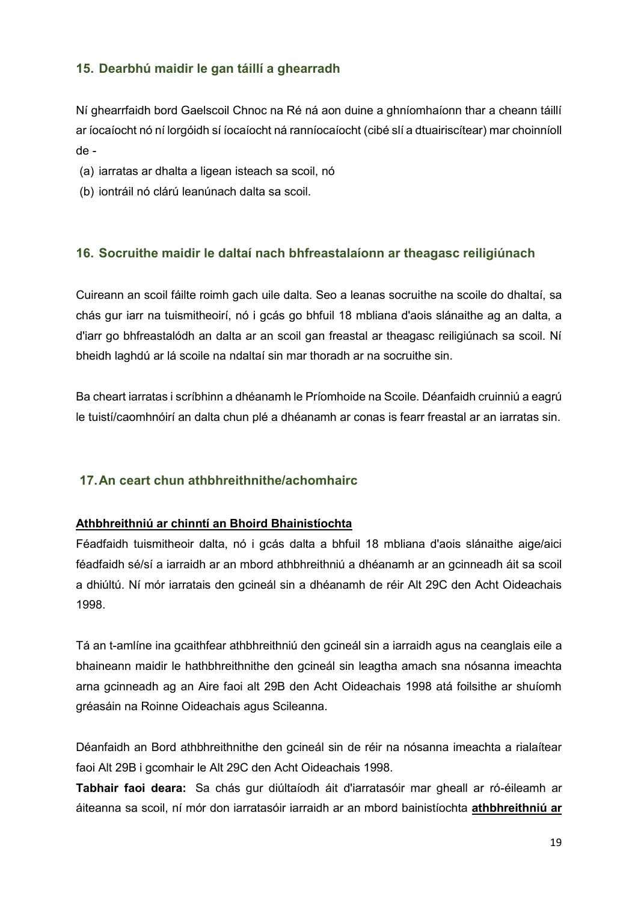## **15. Dearbhú maidir le gan táillí a ghearradh**

Ní ghearrfaidh bord Gaelscoil Chnoc na Ré ná aon duine a ghníomhaíonn thar a cheann táillí ar íocaíocht nó ní lorgóidh sí íocaíocht ná ranníocaíocht (cibé slí a dtuairiscítear) mar choinníoll de -

- (a) iarratas ar dhalta a ligean isteach sa scoil, nó
- (b) iontráil nó clárú leanúnach dalta sa scoil.

### **16. Socruithe maidir le daltaí nach bhfreastalaíonn ar theagasc reiligiúnach**

Cuireann an scoil fáilte roimh gach uile dalta. Seo a leanas socruithe na scoile do dhaltaí, sa chás gur iarr na tuismitheoirí, nó i gcás go bhfuil 18 mbliana d'aois slánaithe ag an dalta, a d'iarr go bhfreastalódh an dalta ar an scoil gan freastal ar theagasc reiligiúnach sa scoil. Ní bheidh laghdú ar lá scoile na ndaltaí sin mar thoradh ar na socruithe sin.

Ba cheart iarratas i scríbhinn a dhéanamh le Príomhoide na Scoile. Déanfaidh cruinniú a eagrú le tuistí/caomhnóirí an dalta chun plé a dhéanamh ar conas is fearr freastal ar an iarratas sin.

### **17.An ceart chun athbhreithnithe/achomhairc**

#### **Athbhreithniú ar chinntí an Bhoird Bhainistíochta**

Féadfaidh tuismitheoir dalta, nó i gcás dalta a bhfuil 18 mbliana d'aois slánaithe aige/aici féadfaidh sé/sí a iarraidh ar an mbord athbhreithniú a dhéanamh ar an gcinneadh áit sa scoil a dhiúltú. Ní mór iarratais den gcineál sin a dhéanamh de réir Alt 29C den Acht Oideachais 1998.

Tá an t-amlíne ina gcaithfear athbhreithniú den gcineál sin a iarraidh agus na ceanglais eile a bhaineann maidir le hathbhreithnithe den gcineál sin leagtha amach sna nósanna imeachta arna gcinneadh ag an Aire faoi alt 29B den Acht Oideachais 1998 atá foilsithe ar shuíomh gréasáin na Roinne Oideachais agus Scileanna.

Déanfaidh an Bord athbhreithnithe den gcineál sin de réir na nósanna imeachta a rialaítear faoi Alt 29B i gcomhair le Alt 29C den Acht Oideachais 1998.

**Tabhair faoi deara:** Sa chás gur diúltaíodh áit d'iarratasóir mar gheall ar ró-éileamh ar áiteanna sa scoil, ní mór don iarratasóir iarraidh ar an mbord bainistíochta **athbhreithniú ar**